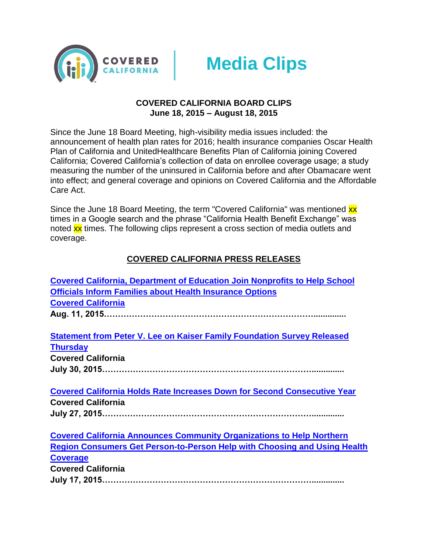



### **COVERED CALIFORNIA BOARD CLIPS June 18, 2015 – August 18, 2015**

Since the June 18 Board Meeting, high-visibility media issues included: the announcement of health plan rates for 2016; health insurance companies Oscar Health Plan of California and UnitedHealthcare Benefits Plan of California joining Covered California; Covered California's collection of data on enrollee coverage usage; a study measuring the number of the uninsured in California before and after Obamacare went into effect; and general coverage and opinions on Covered California and the Affordable Care Act.

Since the June 18 Board Meeting, the term "Covered California" was mentioned xx times in a Google search and the phrase "California Health Benefit Exchange" was noted xx times. The following clips represent a cross section of media outlets and coverage.

# **COVERED CALIFORNIA PRESS RELEASES**

| <b>Covered California, Department of Education Join Nonprofits to Help School</b> |
|-----------------------------------------------------------------------------------|
| <b>Officials Inform Families about Health Insurance Options</b>                   |
| <b>Covered California</b>                                                         |
|                                                                                   |
|                                                                                   |
| <b>Statement from Peter V. Lee on Kaiser Family Foundation Survey Released</b>    |
| <b>Thursday</b>                                                                   |
| <b>Covered California</b>                                                         |
|                                                                                   |
|                                                                                   |
| <b>Covered California Holds Rate Increases Down for Second Consecutive Year</b>   |
| <b>Covered California</b>                                                         |
|                                                                                   |
|                                                                                   |
| <b>Covered California Announces Community Organizations to Help Northern</b>      |
| <b>Region Consumers Get Person-to-Person Help with Choosing and Using Health</b>  |
| <b>Coverage</b>                                                                   |
| <b>Covered California</b>                                                         |
|                                                                                   |
|                                                                                   |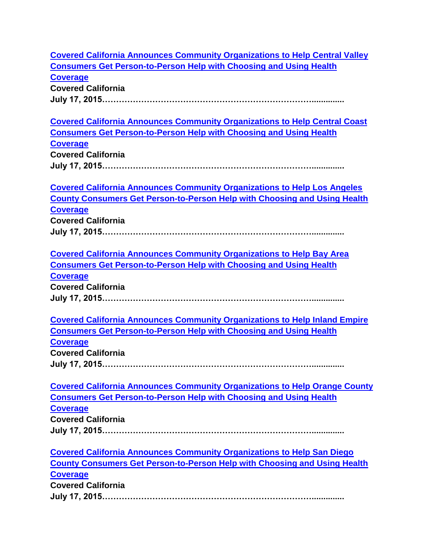| <b>Covered California Announces Community Organizations to Help Central Valley</b> |
|------------------------------------------------------------------------------------|
| <b>Consumers Get Person-to-Person Help with Choosing and Using Health</b>          |
| <b>Coverage</b>                                                                    |
| <b>Covered California</b>                                                          |
|                                                                                    |
|                                                                                    |
| <b>Covered California Announces Community Organizations to Help Central Coast</b>  |
| <b>Consumers Get Person-to-Person Help with Choosing and Using Health</b>          |
| <b>Coverage</b>                                                                    |
| <b>Covered California</b>                                                          |
|                                                                                    |
|                                                                                    |
| <b>Covered California Announces Community Organizations to Help Los Angeles</b>    |
| <b>County Consumers Get Person-to-Person Help with Choosing and Using Health</b>   |
| <b>Coverage</b>                                                                    |
| <b>Covered California</b>                                                          |
|                                                                                    |
|                                                                                    |
| <b>Covered California Announces Community Organizations to Help Bay Area</b>       |
| <b>Consumers Get Person-to-Person Help with Choosing and Using Health</b>          |
| <b>Coverage</b>                                                                    |
| <b>Covered California</b>                                                          |
|                                                                                    |
|                                                                                    |
| <b>Covered California Announces Community Organizations to Help Inland Empire</b>  |
| <b>Consumers Get Person-to-Person Help with Choosing and Using Health</b>          |
| <b>Coverage</b>                                                                    |
| <b>Covered California</b>                                                          |
|                                                                                    |
|                                                                                    |
| <b>Covered California Announces Community Organizations to Help Orange County</b>  |
| <b>Consumers Get Person-to-Person Help with Choosing and Using Health</b>          |
| <b>Coverage</b>                                                                    |
| <b>Covered California</b>                                                          |
|                                                                                    |
|                                                                                    |
| <b>Covered California Announces Community Organizations to Help San Diego</b>      |
| <b>County Consumers Get Person-to-Person Help with Choosing and Using Health</b>   |
| <b>Coverage</b>                                                                    |
| <b>Covered California</b>                                                          |
|                                                                                    |
|                                                                                    |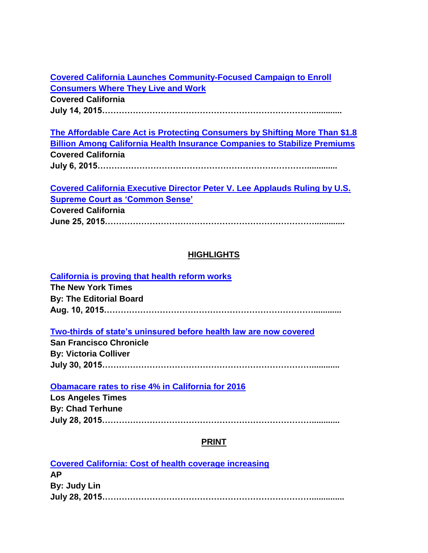**[Covered California Launches Community-Focused Campaign to Enroll](http://news.coveredca.com/2015/07/covered-california-launches-community.html)  [Consumers Where They Live and Work](http://news.coveredca.com/2015/07/covered-california-launches-community.html) Covered California**

**July 14, 2015………………………………………………………………….............**

**[The](http://news.coveredca.com/2015/05/covered-california-has-served-18.html) Affordable Care Act is Protecting Consumers by Shifting More Than \$1.8 Billion Among California Health Insurance Companies to Stabilize Premiums Covered California July 6, 2015………………………………………………………………….............**

**[Covered](http://news.coveredca.com/2015/05/covered-california-announces.html) California Executive Director Peter V. Lee Applauds Ruling by U.S. Supreme Court as 'Common Sense'**

**Covered California**

**June 25, 2015………………………………………………………………….............**

# **HIGHLIGHTS**

**[California is proving that health reform works](http://www.nytimes.com/2015/08/10/opinion/california-is-proving-that-health-reform-works.html?_r=1) The New York Times By: The Editorial Board Aug. 10, 2015…………………………………………………………………............**

**[Two-thirds of state's uninsured before health law are now covered](http://www.sfgate.com/health/article/Two-thirds-of-pre-Obamacare-uninsured-in-state-6415861.php)**

**San Francisco Chronicle By: Victoria Colliver July 30, 2015…………………………………………………………………............**

**[Obamacare rates to rise 4% in California for 2016](http://www.latimes.com/business/healthcare/la-fi-obamacare-rates-20150727-story.html#page=1)**

**Los Angeles Times By: Chad Terhune July 28, 2015…………………………………………………………………............**

### **PRINT**

| <b>Covered California: Cost of health coverage increasing</b> |  |
|---------------------------------------------------------------|--|
| <b>AP</b>                                                     |  |
| By: Judy Lin                                                  |  |
|                                                               |  |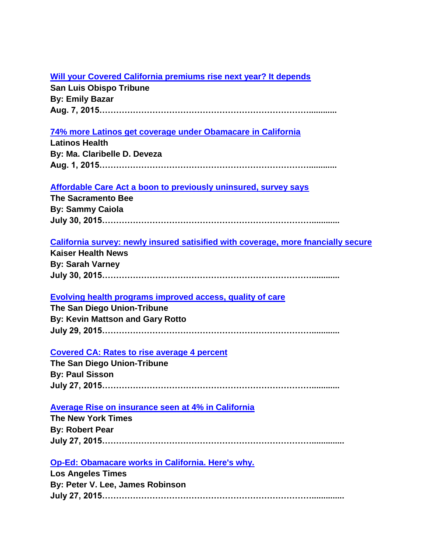# **[Will your Covered California premiums rise next year? It depends](http://www.sanluisobispo.com/2015/08/07/3753623_covered-california-health-premiums.html?rh=1)**

**San Luis Obispo Tribune By: Emily Bazar Aug. 7, 2015…………………………………………………………………............**

# **[74% more Latinos get coverage under Obamacare in California](http://www.latinoshealth.com/articles/8112/20150801/74-percent-latinos-coverage-under-obamacare-california.htm)**

| <b>Latinos Health</b>        |
|------------------------------|
| By: Ma. Claribelle D. Deveza |
|                              |

# **[Affordable Care Act a boon to previously uninsured, survey says](http://www.sacbee.com/news/local/health-and-medicine/healthy-choices/article29553763.html)**

**The Sacramento Bee By: Sammy Caiola July 30, 2015…………………………………………………………………............**

### **[California survey: newly insured satisified with coverage, more fnancially secure](http://khn.org/news/california-survey-newly-insured-satisified-with-coverage-more-financially-secure/)**

**Kaiser Health News By: Sarah Varney July 30, 2015…………………………………………………………………............**

### **[Evolving health programs improved access, quality of care](http://www.sandiegouniontribune.com/news/2015/jul/29/Medicaid-healthcare-access-quality/)**

**The San Diego Union-Tribune By: Kevin Mattson and Gary Rotto July 29, 2015…………………………………………………………………............**

### **[Covered CA: Rates to rise average 4 percent](http://www.sandiegouniontribune.com/news/2015/jul/27/covered-ca-2016-rates/)**

**The San Diego Union-Tribune By: Paul Sisson July 27, 2015…………………………………………………………………............**

### **[Average Rise on insurance seen](http://www.nytimes.com/2015/07/28/us/average-rise-on-insurance-seen-at-4-in-california.html?_r=0) at 4% in California**

**The New York Times By: Robert Pear July 27, 2015…………………………………………………………………..............**

# **[Op-Ed: Obamacare works in California.](http://www.latimes.com/opinion/op-ed/la-oe-0728-lee-aca-insurance-prices-20150727-story.html) Here's why.**

**Los Angeles Times By: Peter V. Lee, James Robinson July 27, 2015…………………………………………………………………..............**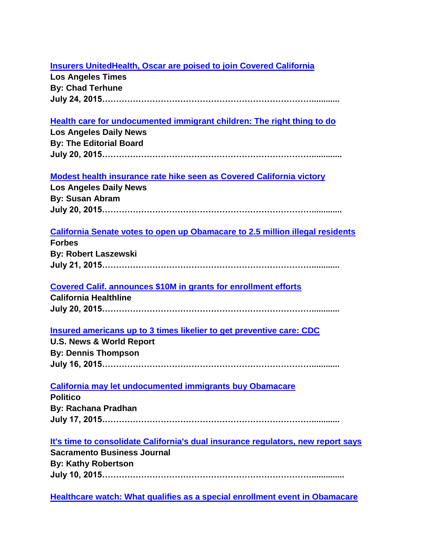# **[Insurers UnitedHealth, Oscar are poised to join Covered California](http://www.latimes.com/business/la-fi-obamacare-exchange-20150724-story.html)**

**Los Angeles Times By: Chad Terhune July 24, 2015…………………………………………………………………............**

# **[Health care for undocumented immigrant children: The right thing to do](http://www.dailynews.com/opinion/20150720/health-care-for-undocumented-immigrant-children-the-right-thing-to-do)**

**Los Angeles Daily News By: The Editorial Board July 20, 2015………………………………………………………………….............**

# **[Modest health insurance rate hike seen as Covered California victory](http://www.dailynews.com/government-and-politics/20150727/modest-health-insurance-rate-hike-seen-as-covered-california-victory)**

**Los Angeles Daily News By: Susan Abram July 20, 2015………………………………………………………………….............**

# **[California Senate votes to open up Obamacare to 2.5 million illegal residents](http://www.forbes.com/sites/robertlaszewski2/2015/07/21/california-senate-votes-to-open-up-obamacare-to-2-5-million-illegal-residents/)**

**Forbes By: Robert Laszewski July 21, 2015…………………………………………………………………............**

# **[Covered Calif. announces \\$10M in grants for enrollment efforts](http://www.californiahealthline.org/articles/2015/7/20/covered-calif-announces-10m-in-grants-for-enrollment-efforts)**

**California Healthline July 20, 2015…………………………………………………………………............**

# **[Insured americans up to 3 times likelier to get preventive care: CDC](http://health.usnews.com/health-news/articles/2015/07/16/insured-americans-up-to-3-times-likelier-to-get-preventive-care-cdc)**

**U.S. News & World Report By: Dennis Thompson July 16, 2015…………………………………………………………………............**

### **[California may let undocumented immigrants buy Obamacare](http://www.politico.com/story/2015/07/california-may-let-undocumented-immigrants-buy-obamacare-120249.html#ixzz3g6Nm1tJk)**

**Politico By: Rachana Pradhan July 17, 2015…………………………………………………………………............**

### **[It's time to consolidate California's dual insurance regulators, new report says](http://www.bizjournals.com/sacramento/news/2015/07/10/its-time-to-consolidate-californias-dual-insurance.html)**

**Sacramento Business Journal By: Kathy Robertson July 10, 2015…………………………………………………………………..............**

**[Healthcare watch: What qualifies as a special enrollment event in Obamacare](http://www.latimes.com/business/la-fi-healthcare-watch-20150710-story.html)**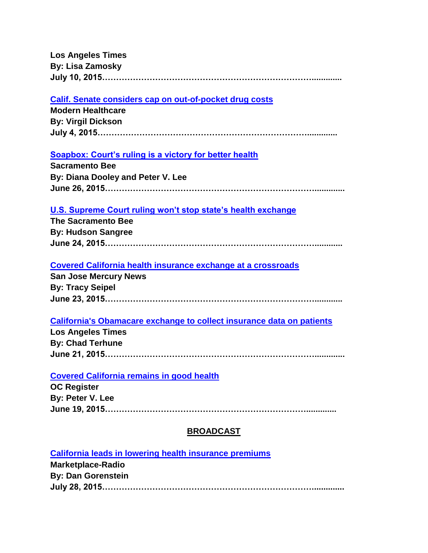**Los Angeles Times By: Lisa Zamosky July 10, 2015………………………………………………………………….............**

#### **[Calif. Senate considers cap on out-of-pocket drug costs](http://www.modernhealthcare.com/article/20150704/MAGAZINE/307049947/calif-senate-considers-cap-on-out-of-pocket-drug-costs)**

**Modern Healthcare By: Virgil Dickson July 4, 2015………………………………………………………………….............**

### **[Soapbox: Court's ruling is a victory for better health](http://www.sacbee.com/opinion/op-ed/soapbox/article25514767.html)**

| <b>Sacramento Bee</b>             |
|-----------------------------------|
| By: Diana Dooley and Peter V. Lee |
|                                   |

#### **[U.S. Supreme Court ruling won't stop state's health exchange](http://www.sacbee.com/news/state/california/article25434070.html)**

**The Sacramento Bee By: Hudson Sangree June 24, 2015…………………………………………………………………............**

#### **[Covered California health insurance exchange at a crossroads](http://www.mercurynews.com/health/ci_28369164/covered-california-health-insurance-exchange-at-crossroads)**

**San Jose Mercury News By: Tracy Seipel June 23, 2015…………………………………………………………………............**

#### **[California's Obamacare exchange to collect insurance data on patients](http://www.latimes.com/business/la-fi-obamacare-patient-privacy-20150622-story.html)**

**Los Angeles Times By: Chad Terhune June 21, 2015………………………………………………………………….............**

#### **[Covered California remains in good health](http://www.ocregister.com/articles/california-667391-covered-health.html)**

**OC Register By: Peter V. Lee June 19, 2015……………………………………………………………….............**

### **BROADCAST**

#### **[California leads in lowering health insurance premiums](http://www.marketplace.org/topics/health-care/california-leads-lowering-health-insurance-premiums)**

**Marketplace-Radio By: Dan Gorenstein July 28, 2015…………………………………………………………………..............**